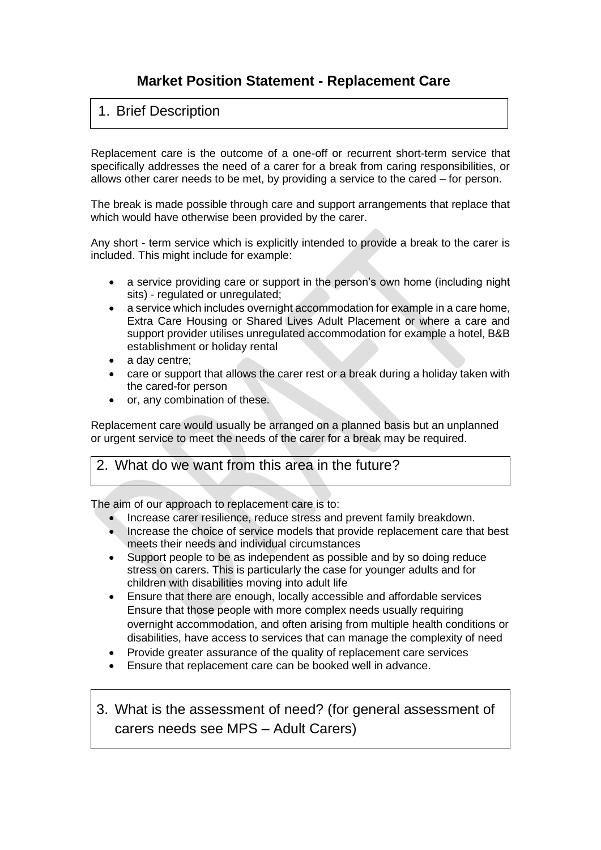# **Market Position Statement - Replacement Care**

## 1. Brief Description

Replacement care is the outcome of a one-off or recurrent short-term service that specifically addresses the need of a carer for a break from caring responsibilities, or allows other carer needs to be met, by providing a service to the cared – for person.

The break is made possible through care and support arrangements that replace that which would have otherwise been provided by the carer.

Any short - term service which is explicitly intended to provide a break to the carer is included. This might include for example:

- a service providing care or support in the person's own home (including night sits) - regulated or unregulated;
- a service which includes overnight accommodation for example in a care home, Extra Care Housing or Shared Lives Adult Placement or where a care and support provider utilises unregulated accommodation for example a hotel, B&B establishment or holiday rental
- a day centre;
- care or support that allows the carer rest or a break during a holiday taken with the cared-for person
- or, any combination of these.

Replacement care would usually be arranged on a planned basis but an unplanned or urgent service to meet the needs of the carer for a break may be required.

#### 2. What do we want from this area in the future?

The aim of our approach to replacement care is to:

- Increase carer resilience, reduce stress and prevent family breakdown.
- Increase the choice of service models that provide replacement care that best meets their needs and individual circumstances
- Support people to be as independent as possible and by so doing reduce stress on carers. This is particularly the case for younger adults and for children with disabilities moving into adult life
- Ensure that there are enough, locally accessible and affordable services Ensure that those people with more complex needs usually requiring overnight accommodation, and often arising from multiple health conditions or disabilities, have access to services that can manage the complexity of need
- Provide greater assurance of the quality of replacement care services
- Ensure that replacement care can be booked well in advance.

3. What is the assessment of need? (for general assessment of carers needs see MPS – Adult Carers)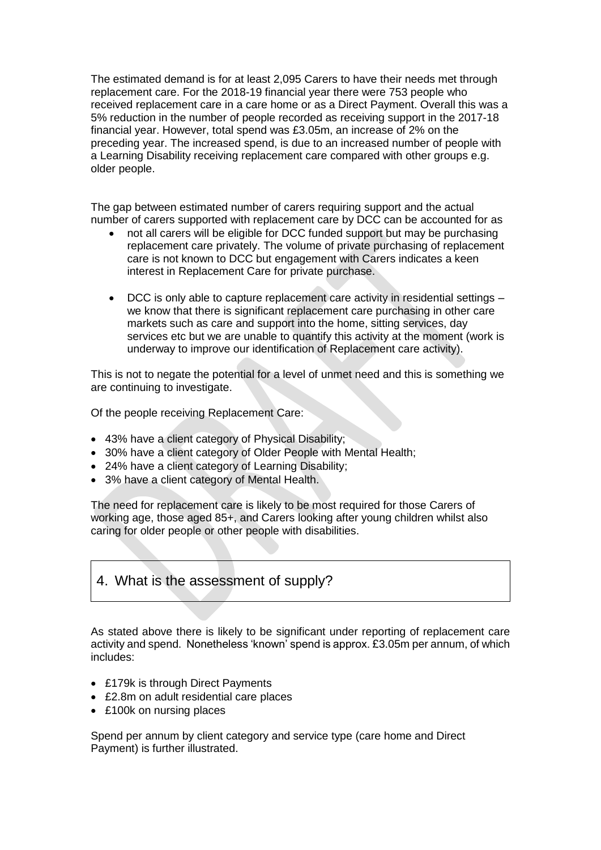The estimated demand is for at least 2,095 Carers to have their needs met through replacement care. For the 2018-19 financial year there were 753 people who received replacement care in a care home or as a Direct Payment. Overall this was a 5% reduction in the number of people recorded as receiving support in the 2017-18 financial year. However, total spend was £3.05m, an increase of 2% on the preceding year. The increased spend, is due to an increased number of people with a Learning Disability receiving replacement care compared with other groups e.g. older people.

The gap between estimated number of carers requiring support and the actual number of carers supported with replacement care by DCC can be accounted for as

- not all carers will be eligible for DCC funded support but may be purchasing replacement care privately. The volume of private purchasing of replacement care is not known to DCC but engagement with Carers indicates a keen interest in Replacement Care for private purchase.
- DCC is only able to capture replacement care activity in residential settings we know that there is significant replacement care purchasing in other care markets such as care and support into the home, sitting services, day services etc but we are unable to quantify this activity at the moment (work is underway to improve our identification of Replacement care activity).

This is not to negate the potential for a level of unmet need and this is something we are continuing to investigate.

Of the people receiving Replacement Care:

- 43% have a client category of Physical Disability;
- 30% have a client category of Older People with Mental Health;
- 24% have a client category of Learning Disability;
- 3% have a client category of Mental Health.

The need for replacement care is likely to be most required for those Carers of working age, those aged 85+, and Carers looking after young children whilst also caring for older people or other people with disabilities.

### 4. What is the assessment of supply?

As stated above there is likely to be significant under reporting of replacement care activity and spend. Nonetheless 'known' spend is approx. £3.05m per annum, of which includes:

- £179k is through Direct Payments
- £2.8m on adult residential care places
- £100k on nursing places

Spend per annum by client category and service type (care home and Direct Payment) is further illustrated.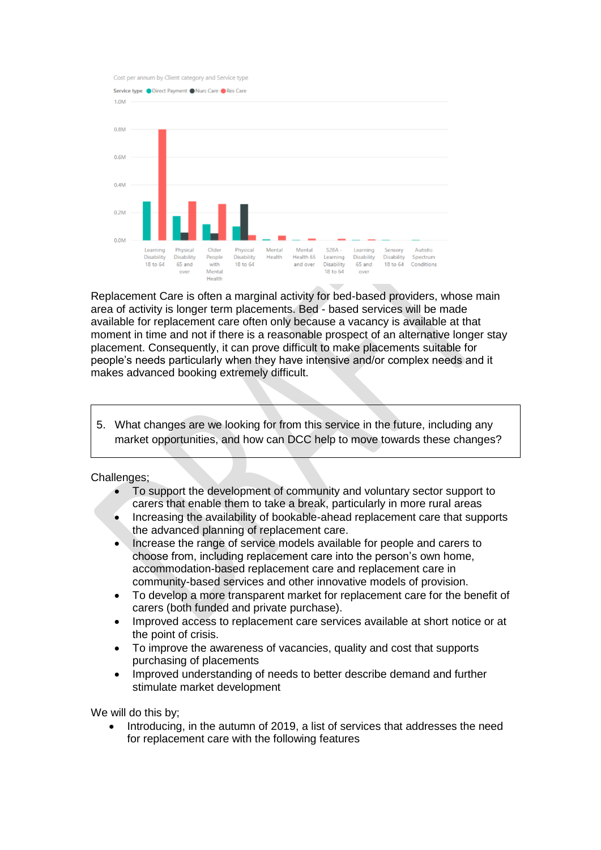

Replacement Care is often a marginal activity for bed-based providers, whose main area of activity is longer term placements. Bed - based services will be made available for replacement care often only because a vacancy is available at that moment in time and not if there is a reasonable prospect of an alternative longer stay placement. Consequently, it can prove difficult to make placements suitable for people's needs particularly when they have intensive and/or complex needs and it makes advanced booking extremely difficult.

5. What changes are we looking for from this service in the future, including any market opportunities, and how can DCC help to move towards these changes?

Challenges;

- To support the development of community and voluntary sector support to carers that enable them to take a break, particularly in more rural areas
- Increasing the availability of bookable-ahead replacement care that supports the advanced planning of replacement care.
- Increase the range of service models available for people and carers to choose from, including replacement care into the person's own home, accommodation-based replacement care and replacement care in community-based services and other innovative models of provision.
- To develop a more transparent market for replacement care for the benefit of carers (both funded and private purchase).
- Improved access to replacement care services available at short notice or at the point of crisis.
- To improve the awareness of vacancies, quality and cost that supports purchasing of placements
- Improved understanding of needs to better describe demand and further stimulate market development

We will do this by;

• Introducing, in the autumn of 2019, a list of services that addresses the need for replacement care with the following features